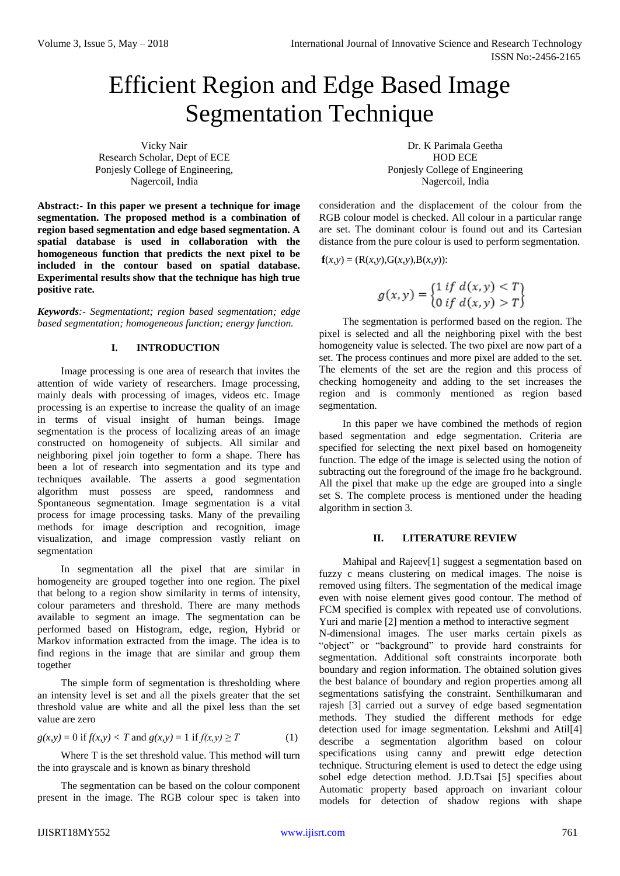# Efficient Region and Edge Based Image Segmentation Technique

Vicky Nair Research Scholar, Dept of ECE Ponjesly College of Engineering, Nagercoil, India

**Abstract:- In this paper we present a technique for image segmentation. The proposed method is a combination of region based segmentation and edge based segmentation. A spatial database is used in collaboration with the homogeneous function that predicts the next pixel to be included in the contour based on spatial database. Experimental results show that the technique has high true positive rate.** 

*Keywords:- Segmentationt; region based segmentation; edge based segmentation; homogeneous function; energy function.*

## **I. INTRODUCTION**

Image processing is one area of research that invites the attention of wide variety of researchers. Image processing, mainly deals with processing of images, videos etc. Image processing is an expertise to increase the quality of an image in terms of visual insight of human beings. Image segmentation is the process of localizing areas of an image constructed on homogeneity of subjects. All similar and neighboring pixel join together to form a shape. There has been a lot of research into segmentation and its type and techniques available. The asserts a good segmentation algorithm must possess are speed, randomness and Spontaneous segmentation. Image segmentation is a vital process for image processing tasks. Many of the prevailing methods for image description and recognition, image visualization, and image compression vastly reliant on segmentation

In segmentation all the pixel that are similar in homogeneity are grouped together into one region. The pixel that belong to a region show similarity in terms of intensity, colour parameters and threshold. There are many methods available to segment an image. The segmentation can be performed based on Histogram, edge, region, Hybrid or Markov information extracted from the image. The idea is to find regions in the image that are similar and group them together

The simple form of segmentation is thresholding where an intensity level is set and all the pixels greater that the set threshold value are white and all the pixel less than the set value are zero

$$
g(x, y) = 0 \text{ if } f(x, y) < T \text{ and } g(x, y) = 1 \text{ if } f(x, y) \ge T \tag{1}
$$

Where T is the set threshold value. This method will turn the into grayscale and is known as binary threshold

The segmentation can be based on the colour component present in the image. The RGB colour spec is taken into

Dr. K Parimala Geetha HOD ECE Ponjesly College of Engineering Nagercoil, India

consideration and the displacement of the colour from the RGB colour model is checked. All colour in a particular range are set. The dominant colour is found out and its Cartesian distance from the pure colour is used to perform segmentation.

 $f(x, y) = (R(x, y), G(x, y), B(x, y))$ :

$$
g(x, y) = \begin{cases} 1 & \text{if } d(x, y) < T \\ 0 & \text{if } d(x, y) > T \end{cases}
$$

The segmentation is performed based on the region. The pixel is selected and all the neighboring pixel with the best homogeneity value is selected. The two pixel are now part of a set. The process continues and more pixel are added to the set. The elements of the set are the region and this process of checking homogeneity and adding to the set increases the region and is commonly mentioned as region based segmentation.

In this paper we have combined the methods of region based segmentation and edge segmentation. Criteria are specified for selecting the next pixel based on homogeneity function. The edge of the image is selected using the notion of subtracting out the foreground of the image fro he background. All the pixel that make up the edge are grouped into a single set S. The complete process is mentioned under the heading algorithm in section 3.

#### **II. LITERATURE REVIEW**

Mahipal and Rajeev[1] suggest a segmentation based on fuzzy c means clustering on medical images. The noise is removed using filters. The segmentation of the medical image even with noise element gives good contour. The method of FCM specified is complex with repeated use of convolutions. Yuri and marie [2] mention a method to interactive segment N-dimensional images. The user marks certain pixels as "object" or "background" to provide hard constraints for segmentation. Additional soft constraints incorporate both boundary and region information. The obtained solution gives the best balance of boundary and region properties among all segmentations satisfying the constraint. Senthilkumaran and rajesh [3] carried out a survey of edge based segmentation methods. They studied the different methods for edge detection used for image segmentation. Lekshmi and Atil[4] describe a segmentation algorithm based on colour specifications using canny and prewitt edge detection technique. Structuring element is used to detect the edge using sobel edge detection method. J.D.Tsai [5] specifies about Automatic property based approach on invariant colour models for detection of shadow regions with shape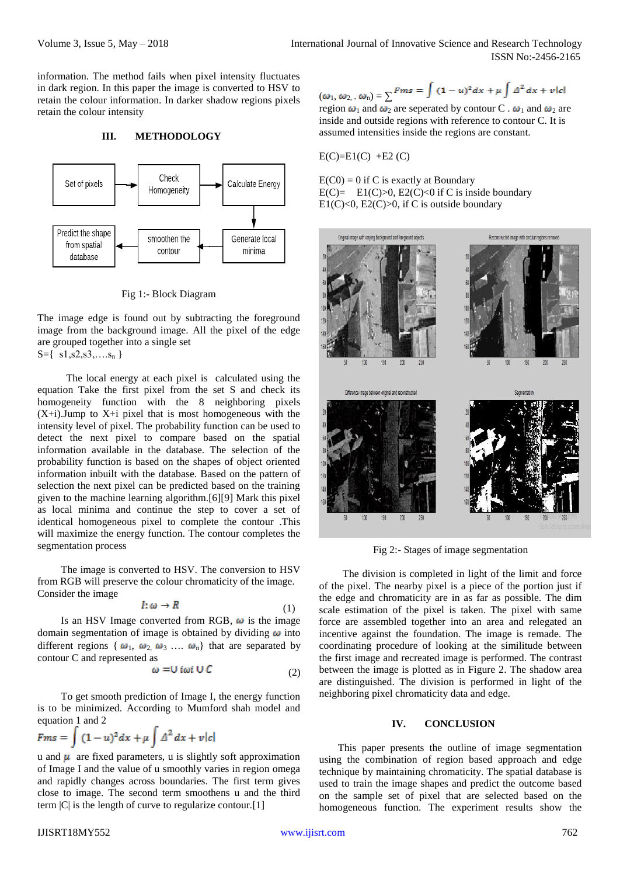information. The method fails when pixel intensity fluctuates in dark region. In this paper the image is converted to HSV to retain the colour information. In darker shadow regions pixels retain the colour intensity

## **III. METHODOLOGY**



Fig 1:- Block Diagram

The image edge is found out by subtracting the foreground image from the background image. All the pixel of the edge are grouped together into a single set  $S=\{ s1, s2, s3, \ldots s_n \}$ 

 The local energy at each pixel is calculated using the equation Take the first pixel from the set S and check its homogeneity function with the 8 neighboring pixels  $(X+i)$ . Jump to  $X+i$  pixel that is most homogeneous with the intensity level of pixel. The probability function can be used to detect the next pixel to compare based on the spatial information available in the database. The selection of the probability function is based on the shapes of object oriented information inbuilt with the database. Based on the pattern of selection the next pixel can be predicted based on the training given to the machine learning algorithm.[6][9] Mark this pixel as local minima and continue the step to cover a set of identical homogeneous pixel to complete the contour .This will maximize the energy function. The contour completes the segmentation process

The image is converted to HSV. The conversion to HSV from RGB will preserve the colour chromaticity of the image. Consider the image

$$
I: \omega \to R \tag{1}
$$

Is an HSV Image converted from RGB,  $\omega$  is the image domain segmentation of image is obtained by dividing  $\omega$  into different regions {  $\omega_1$ ,  $\omega_2$ ,  $\omega_3$  ....  $\omega_n$ } that are separated by contour C and represented as

$$
\omega = U i \omega i \cup C \tag{2}
$$

To get smooth prediction of Image I, the energy function is to be minimized. According to Mumford shah model and equation 1 and 2

$$
Fms = \int (1-u)^2 dx + \mu \int \Delta^2 dx + \nu |c|
$$

u and  $\mu$  are fixed parameters, u is slightly soft approximation of Image I and the value of u smoothly varies in region omega and rapidly changes across boundaries. The first term gives close to image. The second term smoothens u and the third term  $|C|$  is the length of curve to regularize contour. [1]

IJISRT18MY552 [www.ijisrt.com](http://www.ijisrt.com/) 762

$$
(\omega_1, \omega_2, \omega_1) = \sum \text{Fms} = \int (1-u)^2 dx + \mu \int \Delta^2 dx + \nu |c|
$$

region  $\omega_1$  and  $\omega_2$  are seperated by contour C .  $\omega_1$  and  $\omega_2$  are inside and outside regions with reference to contour C. It is assumed intensities inside the regions are constant.

$$
E(C)=E1(C) + E2(C)
$$

 $E(C0) = 0$  if C is exactly at Boundary  $E(C) = E1(C) > 0$ ,  $E2(C) < 0$  if C is inside boundary E1(C)<0, E2(C)>0, if C is outside boundary



Fig 2:- Stages of image segmentation

The division is completed in light of the limit and force of the pixel. The nearby pixel is a piece of the portion just if the edge and chromaticity are in as far as possible. The dim scale estimation of the pixel is taken. The pixel with same force are assembled together into an area and relegated an incentive against the foundation. The image is remade. The coordinating procedure of looking at the similitude between the first image and recreated image is performed. The contrast between the image is plotted as in Figure 2. The shadow area are distinguished. The division is performed in light of the neighboring pixel chromaticity data and edge.

### **IV. CONCLUSION**

This paper presents the outline of image segmentation using the combination of region based approach and edge technique by maintaining chromaticity. The spatial database is used to train the image shapes and predict the outcome based on the sample set of pixel that are selected based on the homogeneous function. The experiment results show the